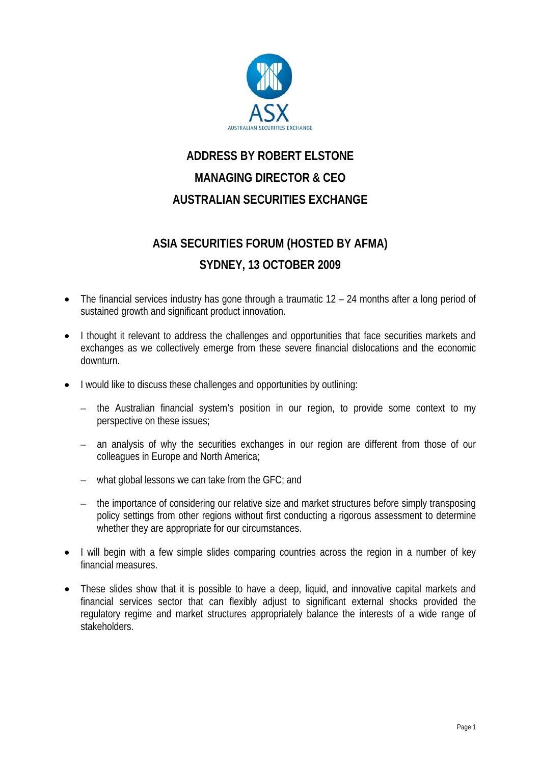

## **ADDRESS BY ROBERT ELSTONE MANAGING DIRECTOR & CEO AUSTRALIAN SECURITIES EXCHANGE**

## **ASIA SECURITIES FORUM (HOSTED BY AFMA) SYDNEY, 13 OCTOBER 2009**

- The financial services industry has gone through a traumatic 12 24 months after a long period of sustained growth and significant product innovation.
- I thought it relevant to address the challenges and opportunities that face securities markets and exchanges as we collectively emerge from these severe financial dislocations and the economic downturn.
- I would like to discuss these challenges and opportunities by outlining:
	- the Australian financial system's position in our region, to provide some context to my perspective on these issues;
	- an analysis of why the securities exchanges in our region are different from those of our colleagues in Europe and North America;
	- what global lessons we can take from the GFC; and
	- the importance of considering our relative size and market structures before simply transposing policy settings from other regions without first conducting a rigorous assessment to determine whether they are appropriate for our circumstances.
- I will begin with a few simple slides comparing countries across the region in a number of key financial measures.
- These slides show that it is possible to have a deep, liquid, and innovative capital markets and financial services sector that can flexibly adjust to significant external shocks provided the regulatory regime and market structures appropriately balance the interests of a wide range of stakeholders.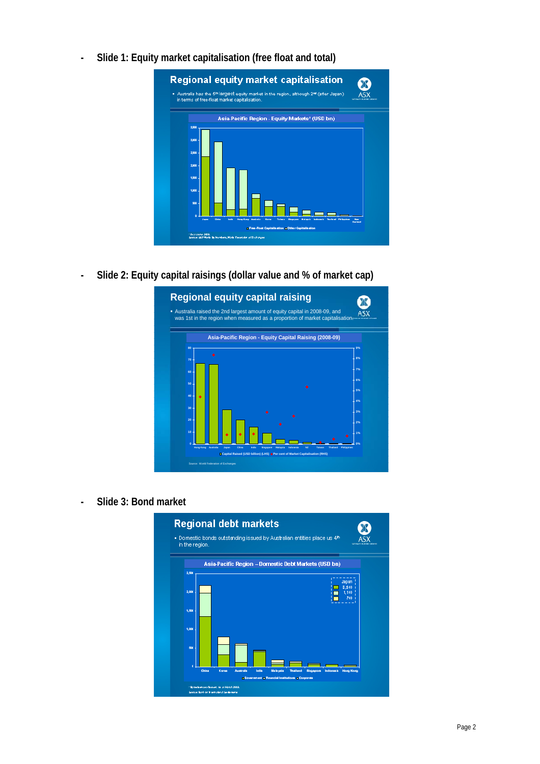**- Slide 1: Equity market capitalisation (free float and total)** 



**- Slide 2: Equity capital raisings (dollar value and % of market cap)** 



**- Slide 3: Bond market** 

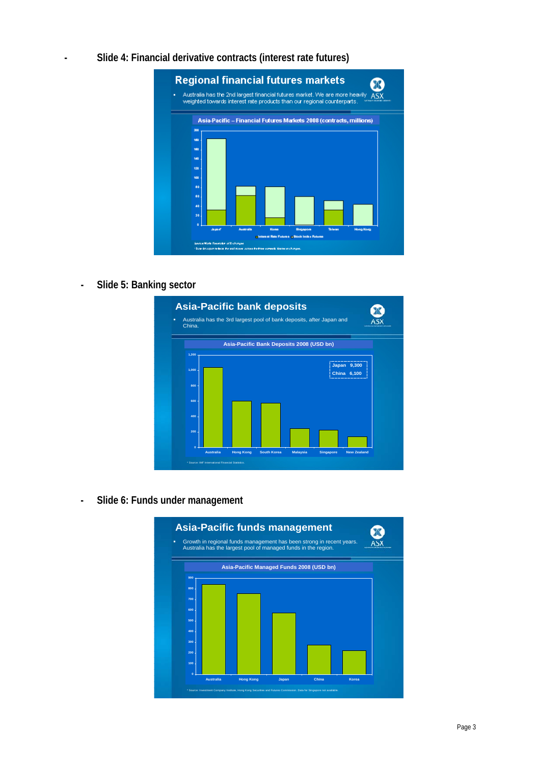**- Slide 4: Financial derivative contracts (interest rate futures)** 



**- Slide 5: Banking sector** 



**- Slide 6: Funds under management** 

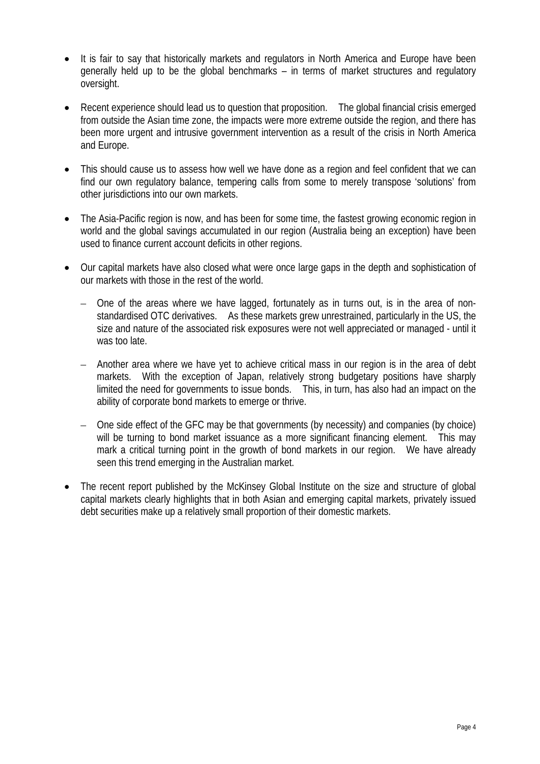- It is fair to say that historically markets and regulators in North America and Europe have been generally held up to be the global benchmarks – in terms of market structures and regulatory oversight.
- Recent experience should lead us to question that proposition. The global financial crisis emerged from outside the Asian time zone, the impacts were more extreme outside the region, and there has been more urgent and intrusive government intervention as a result of the crisis in North America and Europe.
- This should cause us to assess how well we have done as a region and feel confident that we can find our own regulatory balance, tempering calls from some to merely transpose 'solutions' from other jurisdictions into our own markets.
- The Asia-Pacific region is now, and has been for some time, the fastest growing economic region in world and the global savings accumulated in our region (Australia being an exception) have been used to finance current account deficits in other regions.
- Our capital markets have also closed what were once large gaps in the depth and sophistication of our markets with those in the rest of the world.
	- One of the areas where we have lagged, fortunately as in turns out, is in the area of nonstandardised OTC derivatives. As these markets grew unrestrained, particularly in the US, the size and nature of the associated risk exposures were not well appreciated or managed - until it was too late.
	- Another area where we have yet to achieve critical mass in our region is in the area of debt markets. With the exception of Japan, relatively strong budgetary positions have sharply limited the need for governments to issue bonds. This, in turn, has also had an impact on the ability of corporate bond markets to emerge or thrive.
	- One side effect of the GFC may be that governments (by necessity) and companies (by choice) will be turning to bond market issuance as a more significant financing element. This may mark a critical turning point in the growth of bond markets in our region. We have already seen this trend emerging in the Australian market.
- The recent report published by the McKinsey Global Institute on the size and structure of global capital markets clearly highlights that in both Asian and emerging capital markets, privately issued debt securities make up a relatively small proportion of their domestic markets.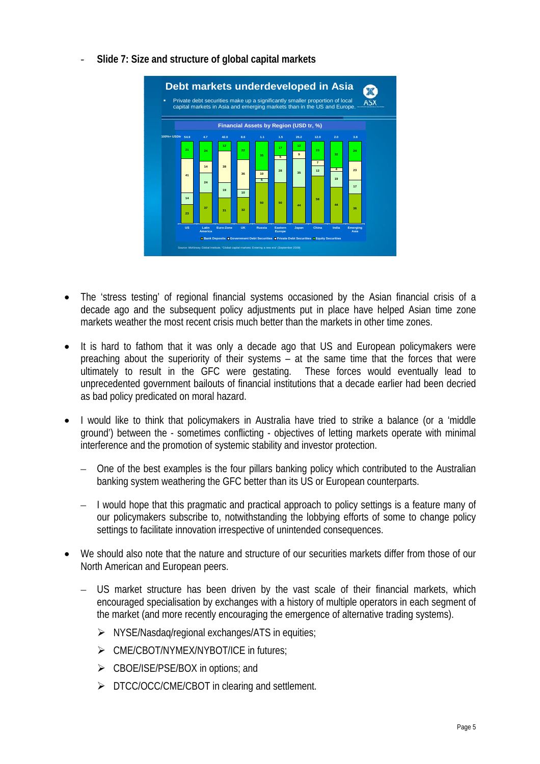- **23 <sup>37</sup> <sup>31</sup> <sup>32</sup> 50 50 <sup>44</sup> 58 44 36 14 24 <sup>19</sup> <sup>10</sup> 5 <sup>28</sup> <sup>35</sup> <sup>12</sup> 19 17 41 14 38 36** 10 **<sup>5</sup> <sup>9</sup> 7 4 23 21 24 12 22 35 <sup>17</sup> <sup>12</sup> 23 24 US Latin America Euro-Zone UK Russia Eastern Europe Japan China India Emerging Asia Bank Deposits Government Debt Securities Private Debt Securities Equity Securities 54.9 4.7 1.1 1.5 26.2 12.0 2.0 3.8 42.0 8.6** Private debt securities make up a significantly smaller proportion of local capital markets in Asia and emerging markets than in the US and Europe. **Financial Assets by Region (USD tr, %)** Source: McKinsey Global Institute, "Global capital markets: Entering a new era" (September 2009) **Debt markets underdeveloped in Asia 100%= USDtr**
- ‐ **Slide 7: Size and structure of global capital markets**

- The 'stress testing' of regional financial systems occasioned by the Asian financial crisis of a decade ago and the subsequent policy adjustments put in place have helped Asian time zone markets weather the most recent crisis much better than the markets in other time zones.
- It is hard to fathom that it was only a decade ago that US and European policymakers were preaching about the superiority of their systems – at the same time that the forces that were ultimately to result in the GFC were gestating. These forces would eventually lead to unprecedented government bailouts of financial institutions that a decade earlier had been decried as bad policy predicated on moral hazard.
- I would like to think that policymakers in Australia have tried to strike a balance (or a 'middle ground') between the - sometimes conflicting - objectives of letting markets operate with minimal interference and the promotion of systemic stability and investor protection.
	- One of the best examples is the four pillars banking policy which contributed to the Australian banking system weathering the GFC better than its US or European counterparts.
	- I would hope that this pragmatic and practical approach to policy settings is a feature many of our policymakers subscribe to, notwithstanding the lobbying efforts of some to change policy settings to facilitate innovation irrespective of unintended consequences.
- We should also note that the nature and structure of our securities markets differ from those of our North American and European peers.
	- US market structure has been driven by the vast scale of their financial markets, which encouraged specialisation by exchanges with a history of multiple operators in each segment of the market (and more recently encouraging the emergence of alternative trading systems).
		- $\triangleright$  NYSE/Nasdag/regional exchanges/ATS in equities;
		- ¾ CME/CBOT/NYMEX/NYBOT/ICE in futures;
		- $\triangleright$  CBOE/ISE/PSE/BOX in options; and
		- ¾ DTCC/OCC/CME/CBOT in clearing and settlement.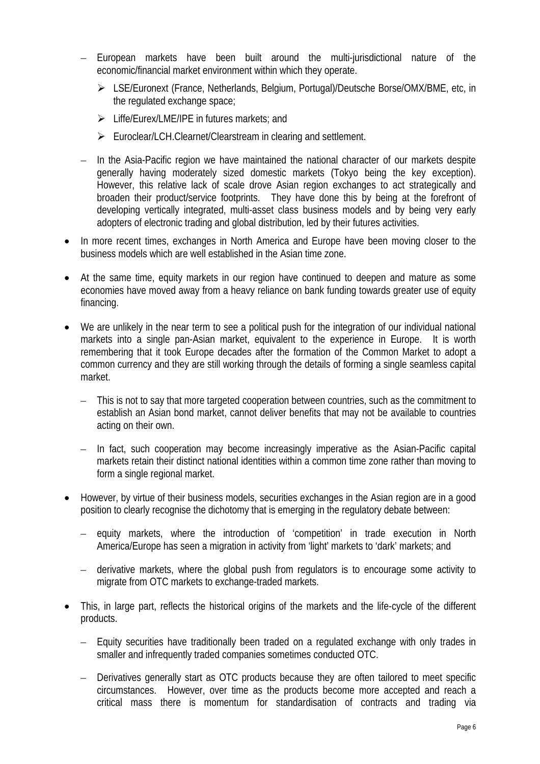- European markets have been built around the multi-jurisdictional nature of the economic/financial market environment within which they operate.
	- ¾ LSE/Euronext (France, Netherlands, Belgium, Portugal)/Deutsche Borse/OMX/BME, etc, in the regulated exchange space;
	- ¾ Liffe/Eurex/LME/IPE in futures markets; and
	- ¾ Euroclear/LCH.Clearnet/Clearstream in clearing and settlement.
- In the Asia-Pacific region we have maintained the national character of our markets despite generally having moderately sized domestic markets (Tokyo being the key exception). However, this relative lack of scale drove Asian region exchanges to act strategically and broaden their product/service footprints. They have done this by being at the forefront of developing vertically integrated, multi-asset class business models and by being very early adopters of electronic trading and global distribution, led by their futures activities.
- In more recent times, exchanges in North America and Europe have been moving closer to the business models which are well established in the Asian time zone.
- At the same time, equity markets in our region have continued to deepen and mature as some economies have moved away from a heavy reliance on bank funding towards greater use of equity financing.
- We are unlikely in the near term to see a political push for the integration of our individual national markets into a single pan-Asian market, equivalent to the experience in Europe. It is worth remembering that it took Europe decades after the formation of the Common Market to adopt a common currency and they are still working through the details of forming a single seamless capital market.
	- This is not to say that more targeted cooperation between countries, such as the commitment to establish an Asian bond market, cannot deliver benefits that may not be available to countries acting on their own.
	- In fact, such cooperation may become increasingly imperative as the Asian-Pacific capital markets retain their distinct national identities within a common time zone rather than moving to form a single regional market.
- However, by virtue of their business models, securities exchanges in the Asian region are in a good position to clearly recognise the dichotomy that is emerging in the regulatory debate between:
	- equity markets, where the introduction of 'competition' in trade execution in North America/Europe has seen a migration in activity from 'light' markets to 'dark' markets; and
	- derivative markets, where the global push from regulators is to encourage some activity to migrate from OTC markets to exchange-traded markets.
- This, in large part, reflects the historical origins of the markets and the life-cycle of the different products.
	- Equity securities have traditionally been traded on a regulated exchange with only trades in smaller and infrequently traded companies sometimes conducted OTC.
	- Derivatives generally start as OTC products because they are often tailored to meet specific circumstances. However, over time as the products become more accepted and reach a critical mass there is momentum for standardisation of contracts and trading via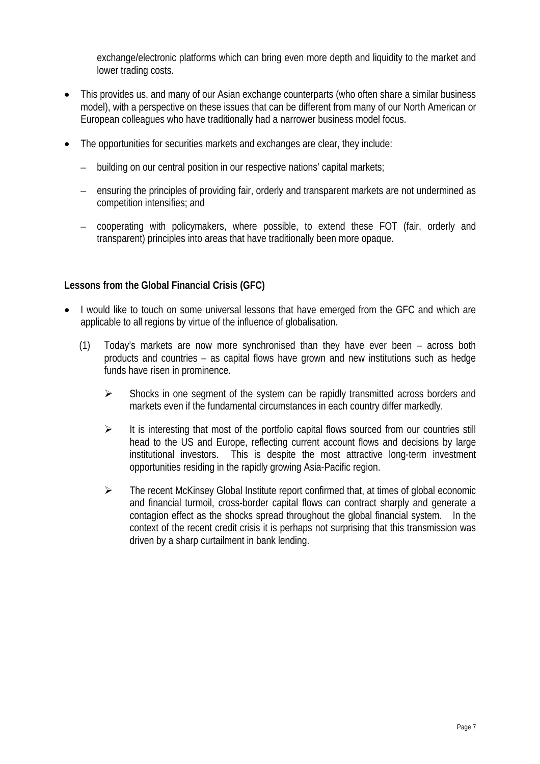exchange/electronic platforms which can bring even more depth and liquidity to the market and lower trading costs.

- This provides us, and many of our Asian exchange counterparts (who often share a similar business model), with a perspective on these issues that can be different from many of our North American or European colleagues who have traditionally had a narrower business model focus.
- The opportunities for securities markets and exchanges are clear, they include:
	- building on our central position in our respective nations' capital markets;
	- ensuring the principles of providing fair, orderly and transparent markets are not undermined as competition intensifies; and
	- cooperating with policymakers, where possible, to extend these FOT (fair, orderly and transparent) principles into areas that have traditionally been more opaque.

## **Lessons from the Global Financial Crisis (GFC)**

- I would like to touch on some universal lessons that have emerged from the GFC and which are applicable to all regions by virtue of the influence of globalisation.
	- (1) Today's markets are now more synchronised than they have ever been across both products and countries – as capital flows have grown and new institutions such as hedge funds have risen in prominence.
		- $\triangleright$  Shocks in one segment of the system can be rapidly transmitted across borders and markets even if the fundamental circumstances in each country differ markedly.
		- $\triangleright$  It is interesting that most of the portfolio capital flows sourced from our countries still head to the US and Europe, reflecting current account flows and decisions by large institutional investors. This is despite the most attractive long-term investment opportunities residing in the rapidly growing Asia-Pacific region.
		- $\triangleright$  The recent McKinsey Global Institute report confirmed that, at times of global economic and financial turmoil, cross-border capital flows can contract sharply and generate a contagion effect as the shocks spread throughout the global financial system. In the context of the recent credit crisis it is perhaps not surprising that this transmission was driven by a sharp curtailment in bank lending.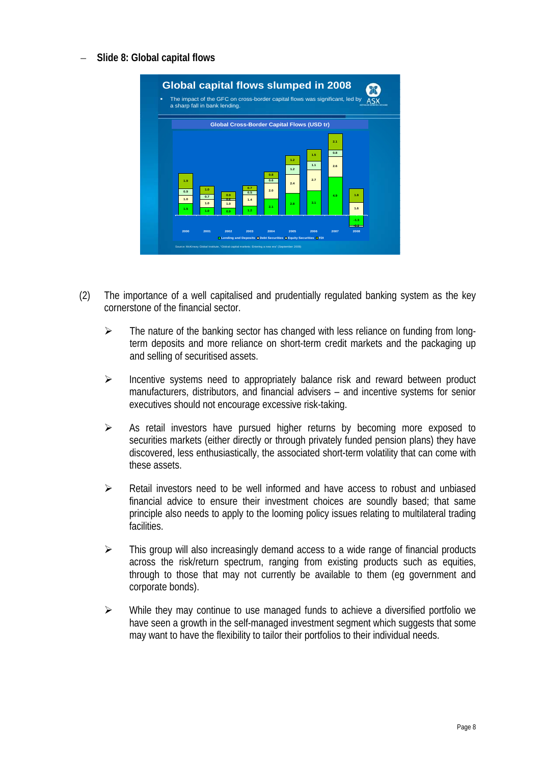– **Slide 8: Global capital flows** 

| ٠ |            |                   | a sharp fall in bank lending.     |                         | The impact of the GFC on cross-border capital flows was significant, led by |            |            |            |               |
|---|------------|-------------------|-----------------------------------|-------------------------|-----------------------------------------------------------------------------|------------|------------|------------|---------------|
|   |            |                   |                                   |                         |                                                                             |            |            |            |               |
|   |            |                   |                                   |                         | <b>Global Cross-Border Capital Flows (USD tr)</b>                           |            |            |            |               |
|   |            |                   |                                   |                         |                                                                             |            |            | 2.1        |               |
|   |            |                   |                                   |                         |                                                                             | 1.2<br>1.2 | 1.5<br>1.1 | 0.8<br>2.6 |               |
|   | 1.9<br>0.9 | 1.0               |                                   | 0.7<br>0.5              | 0.8<br>0.6<br>2.0                                                           | 2.4        | 2.7        |            |               |
|   | 1.0<br>1.5 | 0.7<br>1.0<br>1.0 | 0.9<br>$\mathbf{u}$<br>1.0<br>0.9 | 1.4<br>1.2 <sub>2</sub> | 2.1                                                                         | 2.8        | 3.1        | 4.9        | 1.8<br>1.6    |
|   |            |                   |                                   |                         |                                                                             |            |            |            | $-1.3$        |
|   | 2000       | 2001              | 2002                              | 2003                    | 2004                                                                        | 2005       | 2006       | 2007       | $-12$<br>2008 |

- (2) The importance of a well capitalised and prudentially regulated banking system as the key cornerstone of the financial sector.
	- $\triangleright$  The nature of the banking sector has changed with less reliance on funding from longterm deposits and more reliance on short-term credit markets and the packaging up and selling of securitised assets.
	- $\triangleright$  Incentive systems need to appropriately balance risk and reward between product manufacturers, distributors, and financial advisers – and incentive systems for senior executives should not encourage excessive risk-taking.
	- $\triangleright$  As retail investors have pursued higher returns by becoming more exposed to securities markets (either directly or through privately funded pension plans) they have discovered, less enthusiastically, the associated short-term volatility that can come with these assets.
	- $\triangleright$  Retail investors need to be well informed and have access to robust and unbiased financial advice to ensure their investment choices are soundly based; that same principle also needs to apply to the looming policy issues relating to multilateral trading facilities.
	- $\triangleright$  This group will also increasingly demand access to a wide range of financial products across the risk/return spectrum, ranging from existing products such as equities, through to those that may not currently be available to them (eg government and corporate bonds).
	- $\triangleright$  While they may continue to use managed funds to achieve a diversified portfolio we have seen a growth in the self-managed investment segment which suggests that some may want to have the flexibility to tailor their portfolios to their individual needs.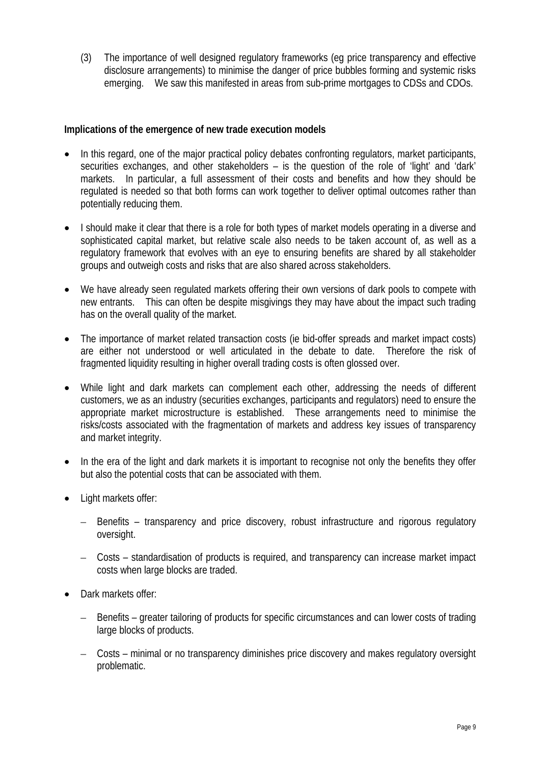(3) The importance of well designed regulatory frameworks (eg price transparency and effective disclosure arrangements) to minimise the danger of price bubbles forming and systemic risks emerging. We saw this manifested in areas from sub-prime mortgages to CDSs and CDOs.

## **Implications of the emergence of new trade execution models**

- In this regard, one of the major practical policy debates confronting regulators, market participants, securities exchanges, and other stakeholders – is the question of the role of 'light' and 'dark' markets. In particular, a full assessment of their costs and benefits and how they should be regulated is needed so that both forms can work together to deliver optimal outcomes rather than potentially reducing them.
- I should make it clear that there is a role for both types of market models operating in a diverse and sophisticated capital market, but relative scale also needs to be taken account of, as well as a regulatory framework that evolves with an eye to ensuring benefits are shared by all stakeholder groups and outweigh costs and risks that are also shared across stakeholders.
- We have already seen regulated markets offering their own versions of dark pools to compete with new entrants. This can often be despite misgivings they may have about the impact such trading has on the overall quality of the market.
- The importance of market related transaction costs (ie bid-offer spreads and market impact costs) are either not understood or well articulated in the debate to date. Therefore the risk of fragmented liquidity resulting in higher overall trading costs is often glossed over.
- While light and dark markets can complement each other, addressing the needs of different customers, we as an industry (securities exchanges, participants and regulators) need to ensure the appropriate market microstructure is established. These arrangements need to minimise the risks/costs associated with the fragmentation of markets and address key issues of transparency and market integrity.
- In the era of the light and dark markets it is important to recognise not only the benefits they offer but also the potential costs that can be associated with them.
- Light markets offer:
	- Benefits transparency and price discovery, robust infrastructure and rigorous regulatory oversight.
	- Costs standardisation of products is required, and transparency can increase market impact costs when large blocks are traded.
- Dark markets offer:
	- Benefits greater tailoring of products for specific circumstances and can lower costs of trading large blocks of products.
	- Costs minimal or no transparency diminishes price discovery and makes regulatory oversight problematic.